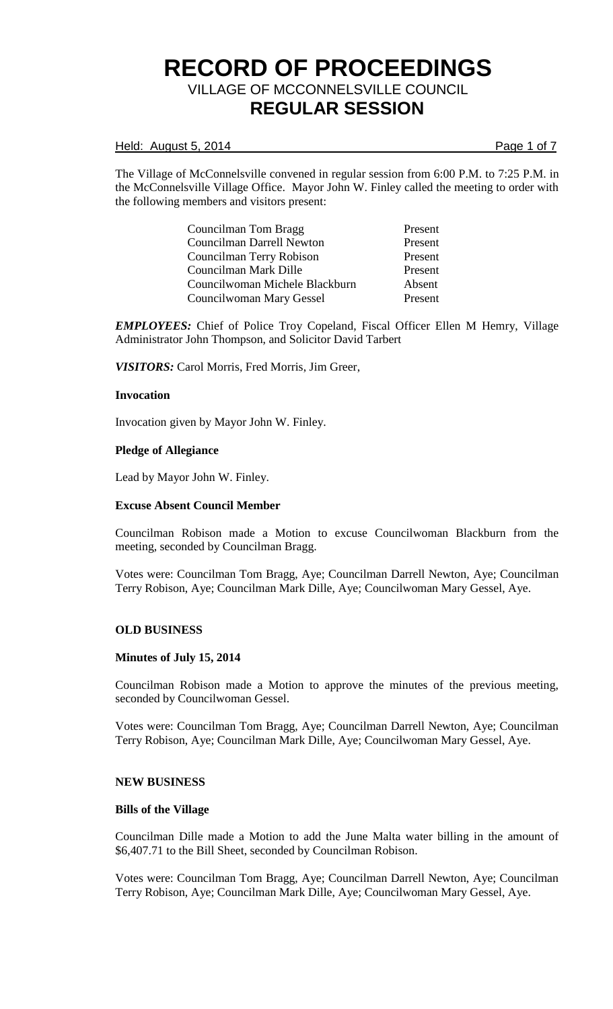## Held: August 5, 2014 **Page 1 of 7**

The Village of McConnelsville convened in regular session from 6:00 P.M. to 7:25 P.M. in the McConnelsville Village Office. Mayor John W. Finley called the meeting to order with the following members and visitors present:

> Councilman Tom Bragg Present Councilman Darrell Newton Present Councilman Terry Robison Present Councilman Mark Dille Present Councilwoman Michele Blackburn Absent Councilwoman Mary Gessel Present

*EMPLOYEES:* Chief of Police Troy Copeland, Fiscal Officer Ellen M Hemry, Village Administrator John Thompson, and Solicitor David Tarbert

*VISITORS:* Carol Morris, Fred Morris, Jim Greer,

## **Invocation**

Invocation given by Mayor John W. Finley.

## **Pledge of Allegiance**

Lead by Mayor John W. Finley.

## **Excuse Absent Council Member**

Councilman Robison made a Motion to excuse Councilwoman Blackburn from the meeting, seconded by Councilman Bragg.

Votes were: Councilman Tom Bragg, Aye; Councilman Darrell Newton, Aye; Councilman Terry Robison, Aye; Councilman Mark Dille, Aye; Councilwoman Mary Gessel, Aye.

## **OLD BUSINESS**

## **Minutes of July 15, 2014**

Councilman Robison made a Motion to approve the minutes of the previous meeting, seconded by Councilwoman Gessel.

Votes were: Councilman Tom Bragg, Aye; Councilman Darrell Newton, Aye; Councilman Terry Robison, Aye; Councilman Mark Dille, Aye; Councilwoman Mary Gessel, Aye.

## **NEW BUSINESS**

# **Bills of the Village**

Councilman Dille made a Motion to add the June Malta water billing in the amount of \$6,407.71 to the Bill Sheet, seconded by Councilman Robison.

Votes were: Councilman Tom Bragg, Aye; Councilman Darrell Newton, Aye; Councilman Terry Robison, Aye; Councilman Mark Dille, Aye; Councilwoman Mary Gessel, Aye.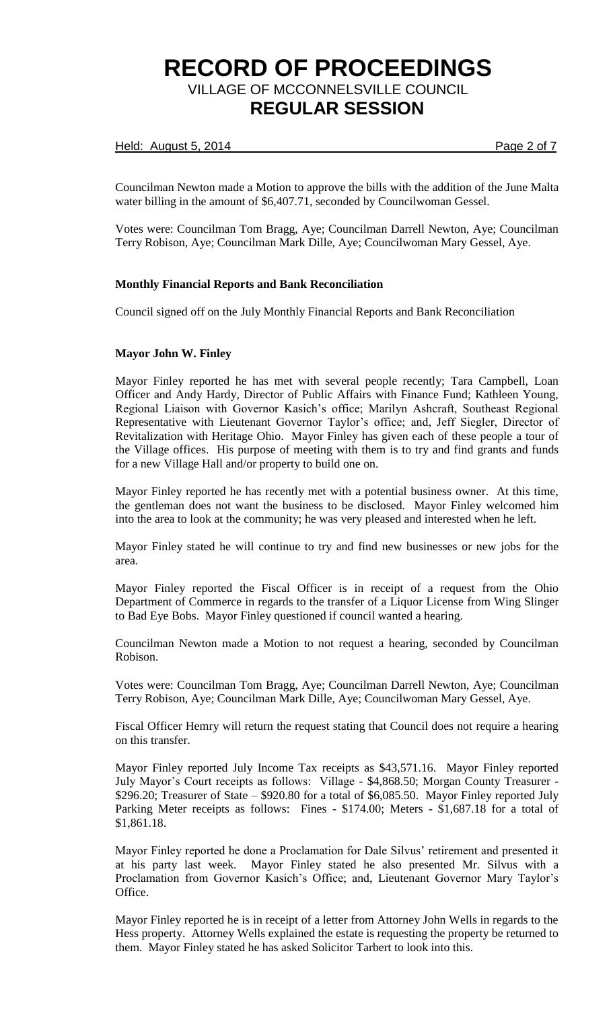# Held: August 5, 2014 **Page 2 of 7**

Councilman Newton made a Motion to approve the bills with the addition of the June Malta water billing in the amount of \$6,407.71, seconded by Councilwoman Gessel.

Votes were: Councilman Tom Bragg, Aye; Councilman Darrell Newton, Aye; Councilman Terry Robison, Aye; Councilman Mark Dille, Aye; Councilwoman Mary Gessel, Aye.

# **Monthly Financial Reports and Bank Reconciliation**

Council signed off on the July Monthly Financial Reports and Bank Reconciliation

## **Mayor John W. Finley**

Mayor Finley reported he has met with several people recently; Tara Campbell, Loan Officer and Andy Hardy, Director of Public Affairs with Finance Fund; Kathleen Young, Regional Liaison with Governor Kasich's office; Marilyn Ashcraft, Southeast Regional Representative with Lieutenant Governor Taylor's office; and, Jeff Siegler, Director of Revitalization with Heritage Ohio. Mayor Finley has given each of these people a tour of the Village offices. His purpose of meeting with them is to try and find grants and funds for a new Village Hall and/or property to build one on.

Mayor Finley reported he has recently met with a potential business owner. At this time, the gentleman does not want the business to be disclosed. Mayor Finley welcomed him into the area to look at the community; he was very pleased and interested when he left.

Mayor Finley stated he will continue to try and find new businesses or new jobs for the area.

Mayor Finley reported the Fiscal Officer is in receipt of a request from the Ohio Department of Commerce in regards to the transfer of a Liquor License from Wing Slinger to Bad Eye Bobs. Mayor Finley questioned if council wanted a hearing.

Councilman Newton made a Motion to not request a hearing, seconded by Councilman Robison.

Votes were: Councilman Tom Bragg, Aye; Councilman Darrell Newton, Aye; Councilman Terry Robison, Aye; Councilman Mark Dille, Aye; Councilwoman Mary Gessel, Aye.

Fiscal Officer Hemry will return the request stating that Council does not require a hearing on this transfer.

Mayor Finley reported July Income Tax receipts as \$43,571.16. Mayor Finley reported July Mayor's Court receipts as follows: Village - \$4,868.50; Morgan County Treasurer - \$296.20; Treasurer of State – \$920.80 for a total of \$6,085.50. Mayor Finley reported July Parking Meter receipts as follows: Fines - \$174.00; Meters - \$1,687.18 for a total of \$1,861.18.

Mayor Finley reported he done a Proclamation for Dale Silvus' retirement and presented it at his party last week. Mayor Finley stated he also presented Mr. Silvus with a Proclamation from Governor Kasich's Office; and, Lieutenant Governor Mary Taylor's Office.

Mayor Finley reported he is in receipt of a letter from Attorney John Wells in regards to the Hess property. Attorney Wells explained the estate is requesting the property be returned to them. Mayor Finley stated he has asked Solicitor Tarbert to look into this.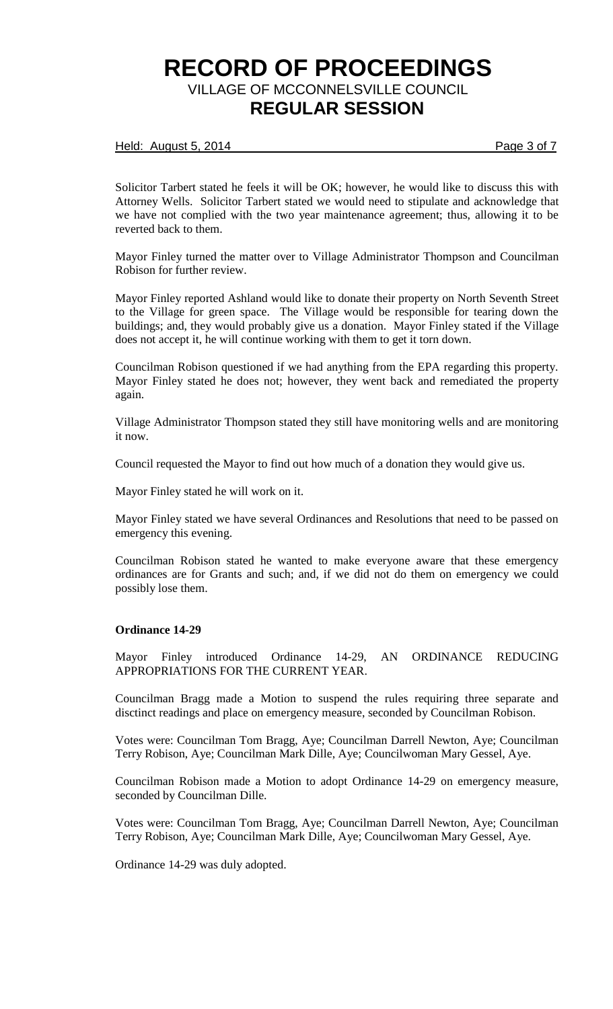## Held: August 5, 2014 **Page 3 of 7**

Solicitor Tarbert stated he feels it will be OK; however, he would like to discuss this with Attorney Wells. Solicitor Tarbert stated we would need to stipulate and acknowledge that we have not complied with the two year maintenance agreement; thus, allowing it to be reverted back to them.

Mayor Finley turned the matter over to Village Administrator Thompson and Councilman Robison for further review.

Mayor Finley reported Ashland would like to donate their property on North Seventh Street to the Village for green space. The Village would be responsible for tearing down the buildings; and, they would probably give us a donation. Mayor Finley stated if the Village does not accept it, he will continue working with them to get it torn down.

Councilman Robison questioned if we had anything from the EPA regarding this property. Mayor Finley stated he does not; however, they went back and remediated the property again.

Village Administrator Thompson stated they still have monitoring wells and are monitoring it now.

Council requested the Mayor to find out how much of a donation they would give us.

Mayor Finley stated he will work on it.

Mayor Finley stated we have several Ordinances and Resolutions that need to be passed on emergency this evening.

Councilman Robison stated he wanted to make everyone aware that these emergency ordinances are for Grants and such; and, if we did not do them on emergency we could possibly lose them.

## **Ordinance 14-29**

Mayor Finley introduced Ordinance 14-29, AN ORDINANCE REDUCING APPROPRIATIONS FOR THE CURRENT YEAR.

Councilman Bragg made a Motion to suspend the rules requiring three separate and disctinct readings and place on emergency measure, seconded by Councilman Robison.

Votes were: Councilman Tom Bragg, Aye; Councilman Darrell Newton, Aye; Councilman Terry Robison, Aye; Councilman Mark Dille, Aye; Councilwoman Mary Gessel, Aye.

Councilman Robison made a Motion to adopt Ordinance 14-29 on emergency measure, seconded by Councilman Dille.

Votes were: Councilman Tom Bragg, Aye; Councilman Darrell Newton, Aye; Councilman Terry Robison, Aye; Councilman Mark Dille, Aye; Councilwoman Mary Gessel, Aye.

Ordinance 14-29 was duly adopted.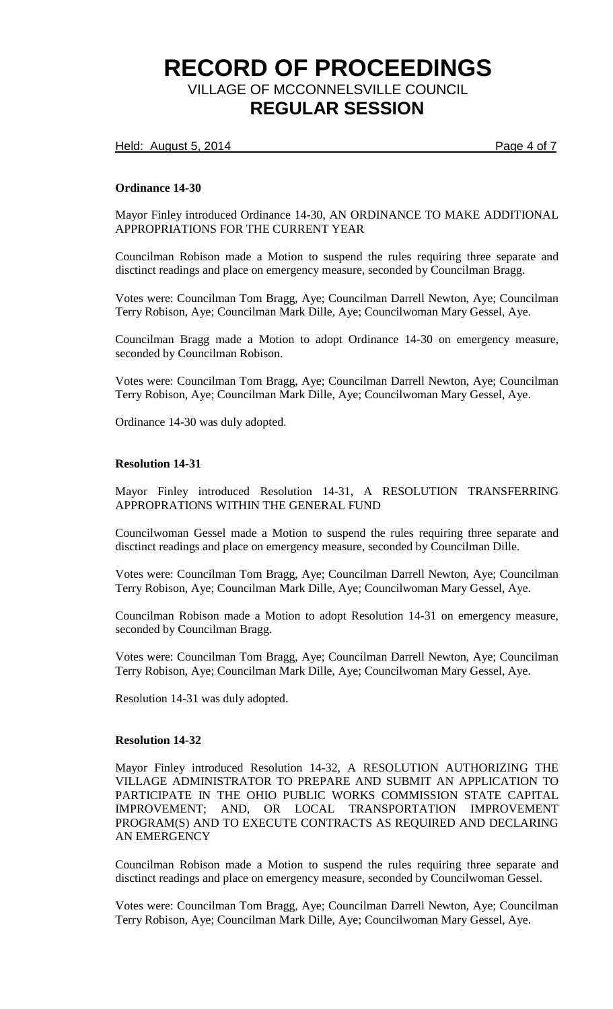Held: August 5, 2014 **Page 4 of 7** 

## **Ordinance 14-30**

Mayor Finley introduced Ordinance 14-30, AN ORDINANCE TO MAKE ADDITIONAL APPROPRIATIONS FOR THE CURRENT YEAR

Councilman Robison made a Motion to suspend the rules requiring three separate and disctinct readings and place on emergency measure, seconded by Councilman Bragg.

Votes were: Councilman Tom Bragg, Aye; Councilman Darrell Newton, Aye; Councilman Terry Robison, Aye; Councilman Mark Dille, Aye; Councilwoman Mary Gessel, Aye.

Councilman Bragg made a Motion to adopt Ordinance 14-30 on emergency measure, seconded by Councilman Robison.

Votes were: Councilman Tom Bragg, Aye; Councilman Darrell Newton, Aye; Councilman Terry Robison, Aye; Councilman Mark Dille, Aye; Councilwoman Mary Gessel, Aye.

Ordinance 14-30 was duly adopted.

#### **Resolution 14-31**

Mayor Finley introduced Resolution 14-31, A RESOLUTION TRANSFERRING APPROPRATIONS WITHIN THE GENERAL FUND

Councilwoman Gessel made a Motion to suspend the rules requiring three separate and disctinct readings and place on emergency measure, seconded by Councilman Dille.

Votes were: Councilman Tom Bragg, Aye; Councilman Darrell Newton, Aye; Councilman Terry Robison, Aye; Councilman Mark Dille, Aye; Councilwoman Mary Gessel, Aye.

Councilman Robison made a Motion to adopt Resolution 14-31 on emergency measure, seconded by Councilman Bragg.

Votes were: Councilman Tom Bragg, Aye; Councilman Darrell Newton, Aye; Councilman Terry Robison, Aye; Councilman Mark Dille, Aye; Councilwoman Mary Gessel, Aye.

Resolution 14-31 was duly adopted.

## **Resolution 14-32**

Mayor Finley introduced Resolution 14-32, A RESOLUTION AUTHORIZING THE VILLAGE ADMINISTRATOR TO PREPARE AND SUBMIT AN APPLICATION TO PARTICIPATE IN THE OHIO PUBLIC WORKS COMMISSION STATE CAPITAL IMPROVEMENT; AND, OR LOCAL TRANSPORTATION IMPROVEMENT PROGRAM(S) AND TO EXECUTE CONTRACTS AS REQUIRED AND DECLARING AN EMERGENCY

Councilman Robison made a Motion to suspend the rules requiring three separate and disctinct readings and place on emergency measure, seconded by Councilwoman Gessel.

Votes were: Councilman Tom Bragg, Aye; Councilman Darrell Newton, Aye; Councilman Terry Robison, Aye; Councilman Mark Dille, Aye; Councilwoman Mary Gessel, Aye.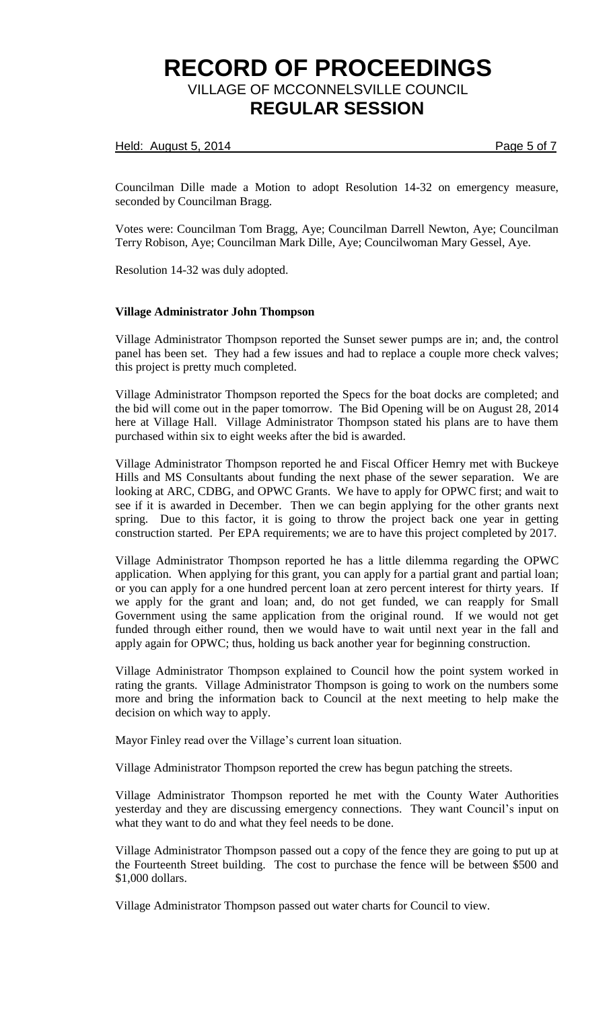## Held: August 5, 2014 **Page 5 of 7**

Councilman Dille made a Motion to adopt Resolution 14-32 on emergency measure, seconded by Councilman Bragg.

Votes were: Councilman Tom Bragg, Aye; Councilman Darrell Newton, Aye; Councilman Terry Robison, Aye; Councilman Mark Dille, Aye; Councilwoman Mary Gessel, Aye.

Resolution 14-32 was duly adopted.

## **Village Administrator John Thompson**

Village Administrator Thompson reported the Sunset sewer pumps are in; and, the control panel has been set. They had a few issues and had to replace a couple more check valves; this project is pretty much completed.

Village Administrator Thompson reported the Specs for the boat docks are completed; and the bid will come out in the paper tomorrow. The Bid Opening will be on August 28, 2014 here at Village Hall. Village Administrator Thompson stated his plans are to have them purchased within six to eight weeks after the bid is awarded.

Village Administrator Thompson reported he and Fiscal Officer Hemry met with Buckeye Hills and MS Consultants about funding the next phase of the sewer separation. We are looking at ARC, CDBG, and OPWC Grants. We have to apply for OPWC first; and wait to see if it is awarded in December. Then we can begin applying for the other grants next spring. Due to this factor, it is going to throw the project back one year in getting construction started. Per EPA requirements; we are to have this project completed by 2017.

Village Administrator Thompson reported he has a little dilemma regarding the OPWC application. When applying for this grant, you can apply for a partial grant and partial loan; or you can apply for a one hundred percent loan at zero percent interest for thirty years. If we apply for the grant and loan; and, do not get funded, we can reapply for Small Government using the same application from the original round. If we would not get funded through either round, then we would have to wait until next year in the fall and apply again for OPWC; thus, holding us back another year for beginning construction.

Village Administrator Thompson explained to Council how the point system worked in rating the grants. Village Administrator Thompson is going to work on the numbers some more and bring the information back to Council at the next meeting to help make the decision on which way to apply.

Mayor Finley read over the Village's current loan situation.

Village Administrator Thompson reported the crew has begun patching the streets.

Village Administrator Thompson reported he met with the County Water Authorities yesterday and they are discussing emergency connections. They want Council's input on what they want to do and what they feel needs to be done.

Village Administrator Thompson passed out a copy of the fence they are going to put up at the Fourteenth Street building. The cost to purchase the fence will be between \$500 and \$1,000 dollars.

Village Administrator Thompson passed out water charts for Council to view.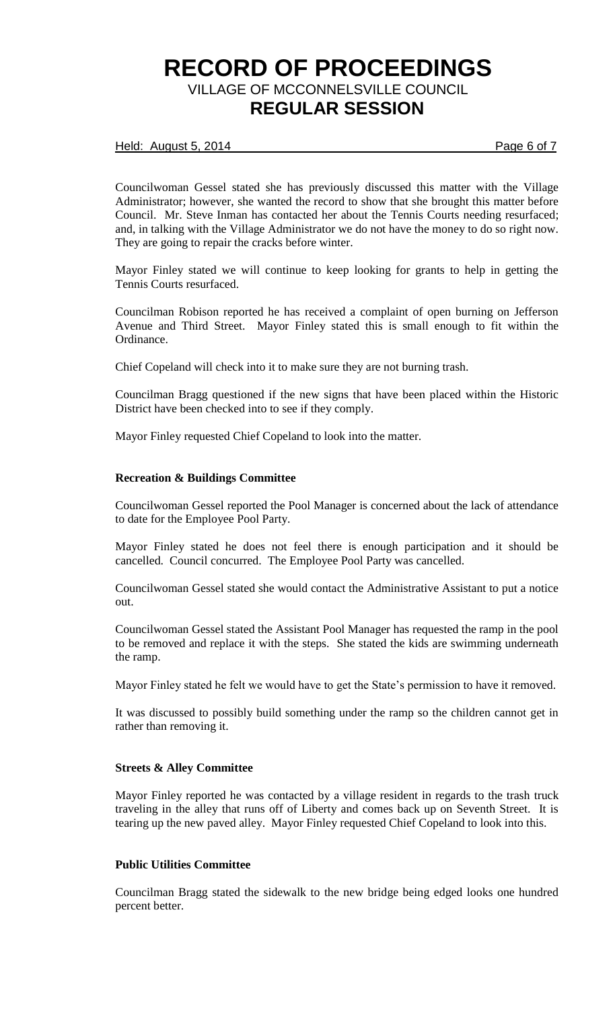# Held: August 5, 2014 **Page 6 of 7**

Councilwoman Gessel stated she has previously discussed this matter with the Village Administrator; however, she wanted the record to show that she brought this matter before Council. Mr. Steve Inman has contacted her about the Tennis Courts needing resurfaced; and, in talking with the Village Administrator we do not have the money to do so right now. They are going to repair the cracks before winter.

Mayor Finley stated we will continue to keep looking for grants to help in getting the Tennis Courts resurfaced.

Councilman Robison reported he has received a complaint of open burning on Jefferson Avenue and Third Street. Mayor Finley stated this is small enough to fit within the Ordinance.

Chief Copeland will check into it to make sure they are not burning trash.

Councilman Bragg questioned if the new signs that have been placed within the Historic District have been checked into to see if they comply.

Mayor Finley requested Chief Copeland to look into the matter.

## **Recreation & Buildings Committee**

Councilwoman Gessel reported the Pool Manager is concerned about the lack of attendance to date for the Employee Pool Party.

Mayor Finley stated he does not feel there is enough participation and it should be cancelled. Council concurred. The Employee Pool Party was cancelled.

Councilwoman Gessel stated she would contact the Administrative Assistant to put a notice out.

Councilwoman Gessel stated the Assistant Pool Manager has requested the ramp in the pool to be removed and replace it with the steps. She stated the kids are swimming underneath the ramp.

Mayor Finley stated he felt we would have to get the State's permission to have it removed.

It was discussed to possibly build something under the ramp so the children cannot get in rather than removing it.

## **Streets & Alley Committee**

Mayor Finley reported he was contacted by a village resident in regards to the trash truck traveling in the alley that runs off of Liberty and comes back up on Seventh Street. It is tearing up the new paved alley. Mayor Finley requested Chief Copeland to look into this.

## **Public Utilities Committee**

Councilman Bragg stated the sidewalk to the new bridge being edged looks one hundred percent better.